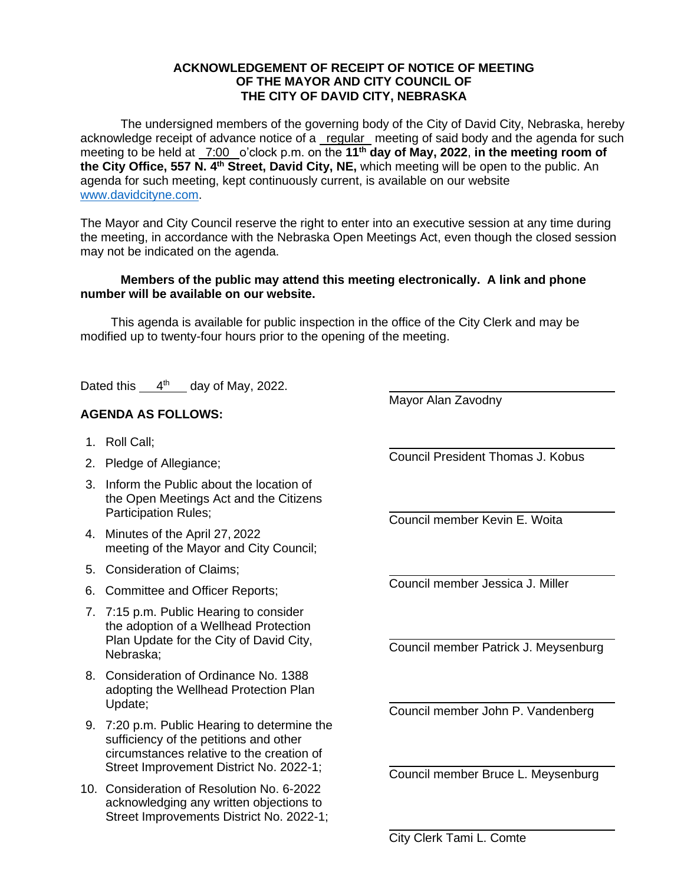## **ACKNOWLEDGEMENT OF RECEIPT OF NOTICE OF MEETING OF THE MAYOR AND CITY COUNCIL OF THE CITY OF DAVID CITY, NEBRASKA**

The undersigned members of the governing body of the City of David City, Nebraska, hereby acknowledge receipt of advance notice of a regular meeting of said body and the agenda for such meeting to be held at 7:00 o'clock p.m. on the **11th day of May, 2022**, **in the meeting room of the City Office, 557 N. 4th Street, David City, NE,** which meeting will be open to the public. An agenda for such meeting, kept continuously current, is available on our website [www.davidcityne.com.](https://urldefense.proofpoint.com/v2/url?u=http-3A__www.davidcityne.com&d=DwMFAg&c=UCja3IwhyjPGYeHcG7oIbg&r=sTF4AptKcZUvAdPZH__AgXD7wYT5PTsm1dL8p3vwYO4&m=H_1JksRqSJf69XA0HV8uDjtaNsM1PhWMo-DkTNHrSaE&s=wLyFni_YrhiWLHduEQzSflZL77e5AtnnCpVJ-weajcE&e=)

The Mayor and City Council reserve the right to enter into an executive session at any time during the meeting, in accordance with the Nebraska Open Meetings Act, even though the closed session may not be indicated on the agenda.

## **Members of the public may attend this meeting electronically. A link and phone number will be available on our website.**

This agenda is available for public inspection in the office of the City Clerk and may be modified up to twenty-four hours prior to the opening of the meeting.

Dated this  $4<sup>th</sup>$  day of May, 2022.

## **AGENDA AS FOLLOWS:**

- 1. Roll Call;
- 2. Pledge of Allegiance;
- 3. Inform the Public about the location of the Open Meetings Act and the Citizens Participation Rules;
- 4. Minutes of the April 27, 2022 meeting of the Mayor and City Council;
- 5. Consideration of Claims;
- 6. Committee and Officer Reports;
- 7. 7:15 p.m. Public Hearing to consider the adoption of a Wellhead Protection Plan Update for the City of David City, Nebraska;
- 8. Consideration of Ordinance No. 1388 adopting the Wellhead Protection Plan Update;
- 9. 7:20 p.m. Public Hearing to determine the sufficiency of the petitions and other circumstances relative to the creation of Street Improvement District No. 2022-1;
- 10. Consideration of Resolution No. 6-2022 acknowledging any written objections to Street Improvements District No. 2022-1;

Mayor Alan Zavodny

Council President Thomas J. Kobus

 $\overline{a}$ 

Council member Kevin E. Woita

Council member Jessica J. Miller

Council member Patrick J. Meysenburg

Council member John P. Vandenberg

Council member Bruce L. Meysenburg

City Clerk Tami L. Comte